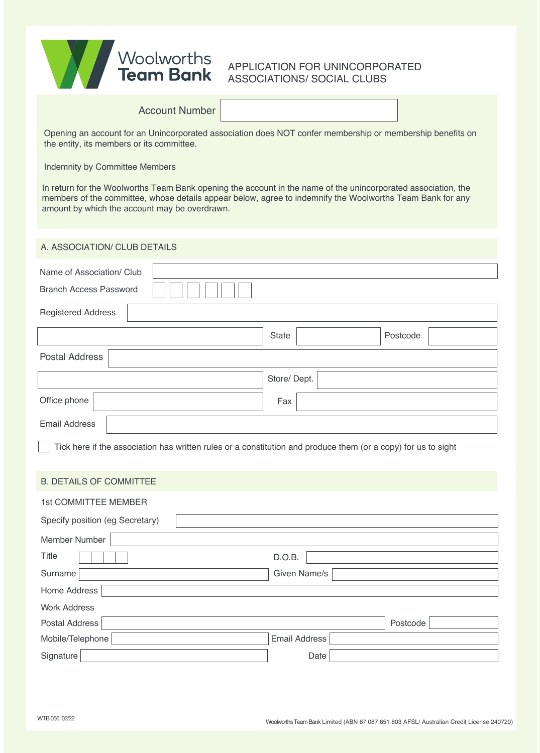| <b>Woolworths</b><br><b>Team Bank</b> | <b>APPLICAT</b><br>ASSOCIAT |
|---------------------------------------|-----------------------------|
|                                       |                             |

# **ION FOR UNINCORPORATED TIONS/ SOCIAL CLUBS**

| <b>Account Number</b>                                                                                                                                                                                                                                                       |                          |  |  |
|-----------------------------------------------------------------------------------------------------------------------------------------------------------------------------------------------------------------------------------------------------------------------------|--------------------------|--|--|
| Opening an account for an Unincorporated association does NOT confer membership or membership benefits on<br>the entity, its members or its committee.                                                                                                                      |                          |  |  |
| Indemnity by Committee Members                                                                                                                                                                                                                                              |                          |  |  |
| In return for the Woolworths Team Bank opening the account in the name of the unincorporated association, the<br>members of the committee, whose details appear below, agree to indemnify the Woolworths Team Bank for any<br>amount by which the account may be overdrawn. |                          |  |  |
| A. ASSOCIATION/ CLUB DETAILS                                                                                                                                                                                                                                                |                          |  |  |
| Name of Association/ Club                                                                                                                                                                                                                                                   |                          |  |  |
| <b>Branch Access Password</b>                                                                                                                                                                                                                                               |                          |  |  |
| <b>Registered Address</b>                                                                                                                                                                                                                                                   |                          |  |  |
|                                                                                                                                                                                                                                                                             | Postcode<br><b>State</b> |  |  |
| <b>Postal Address</b>                                                                                                                                                                                                                                                       |                          |  |  |
|                                                                                                                                                                                                                                                                             | Store/Dept.              |  |  |
| Office phone                                                                                                                                                                                                                                                                | Fax                      |  |  |
| <b>Email Address</b>                                                                                                                                                                                                                                                        |                          |  |  |
| Tick here if the association has written rules or a constitution and produce them (or a copy) for us to sight                                                                                                                                                               |                          |  |  |
| <b>B. DETAILS OF COMMITTEE</b>                                                                                                                                                                                                                                              |                          |  |  |
| 1st COMMITTEE MEMBER                                                                                                                                                                                                                                                        |                          |  |  |
| Specify position (eg Secretary)                                                                                                                                                                                                                                             |                          |  |  |
| Member Number                                                                                                                                                                                                                                                               |                          |  |  |
| Title                                                                                                                                                                                                                                                                       | D.O.B.                   |  |  |
| Surname                                                                                                                                                                                                                                                                     | Given Name/s             |  |  |
| Home Address                                                                                                                                                                                                                                                                |                          |  |  |
| <b>Work Address</b>                                                                                                                                                                                                                                                         |                          |  |  |
| <b>Postal Address</b>                                                                                                                                                                                                                                                       | Postcode                 |  |  |
| Mobile/Telephone                                                                                                                                                                                                                                                            | <b>Email Address</b>     |  |  |

Signature **Date**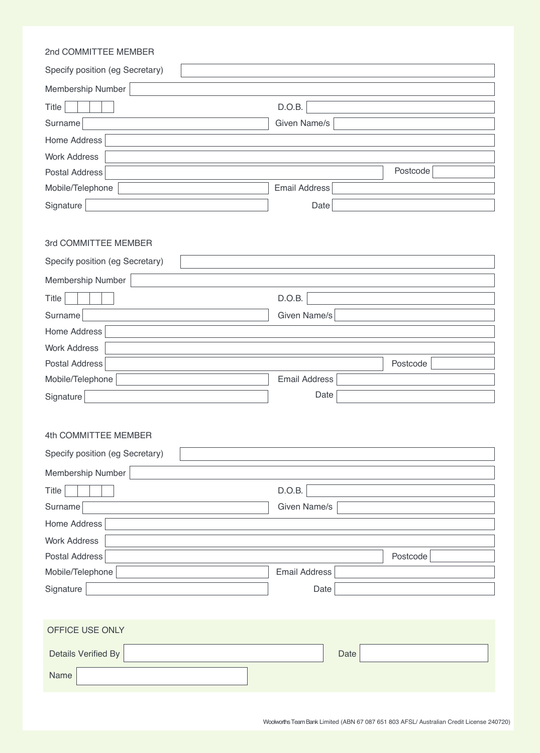| 2nd COMMITTEE MEMBER                                    |                      |  |
|---------------------------------------------------------|----------------------|--|
| Specify position (eg Secretary)                         |                      |  |
| Membership Number                                       |                      |  |
| Title                                                   | D.O.B.               |  |
| Surname                                                 | Given Name/s         |  |
| Home Address                                            |                      |  |
| <b>Work Address</b>                                     |                      |  |
| Postal Address                                          | Postcode             |  |
| Mobile/Telephone                                        | <b>Email Address</b> |  |
| Signature                                               | Date                 |  |
| 3rd COMMITTEE MEMBER<br>Specify position (eg Secretary) |                      |  |
| Membership Number                                       |                      |  |
| Title                                                   | D.O.B.               |  |
| Surname                                                 | Given Name/s         |  |
| Home Address                                            |                      |  |
| <b>Work Address</b>                                     |                      |  |
| Postal Address                                          | Postcode             |  |
| Mobile/Telephone                                        | <b>Email Address</b> |  |
| Signature                                               | Date                 |  |
| 4th COMMITTEE MEMBER<br>Specify position (eg Secretary) |                      |  |
| Membership Number                                       |                      |  |
| Title                                                   | D.O.B.               |  |
| Surname                                                 | Given Name/s         |  |
| Home Address                                            |                      |  |
| <b>Work Address</b>                                     |                      |  |
| Postal Address                                          | Postcode             |  |
| Mobile/Telephone                                        | <b>Email Address</b> |  |
| Signature                                               | Date                 |  |
| OFFICE USE ONLY<br><b>Details Verified By</b>           | Date                 |  |
| Name                                                    |                      |  |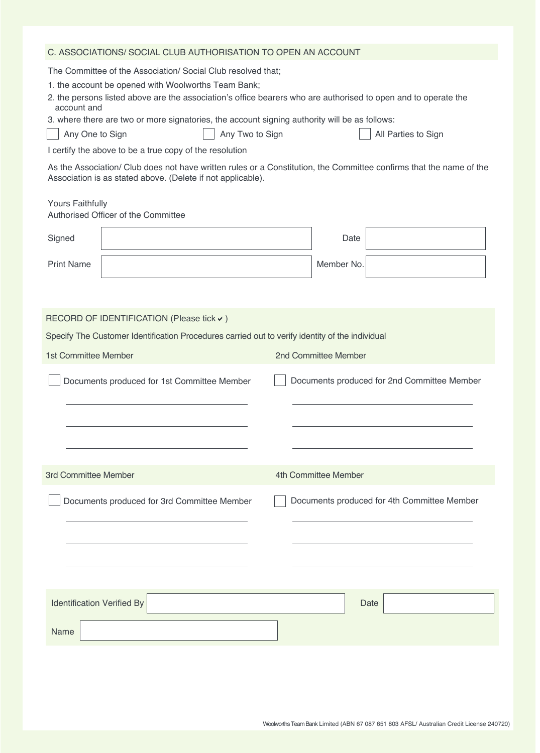### C. ASSOCIATIONS/ SOCIAL CLUB AUTHORISATION TO OPEN AN ACCOUNT

The Committee of the Association/ Social Club resolved that;

- 1. the account be opened with Woolworths Team Bank;
- 2. the persons listed above are the association's office bearers who are authorised to open and to operate the account and
- 3. where there are two or more signatories, the account signing authority will be as follows:

|  | Any One to |  |
|--|------------|--|
|  |            |  |

Sign Rign Any Two to Sign

All Parties to Sign

I certify the above to be a true copy of the resolution

As the Association/ Club does not have written rules or a Constitution, the Committee confirms that the name of the Association is as stated above. (Delete if not applicable).

#### Yours Faithfully

| Authorised Officer of the Committee                                                             |                                             |  |
|-------------------------------------------------------------------------------------------------|---------------------------------------------|--|
| Signed                                                                                          | Date                                        |  |
| <b>Print Name</b>                                                                               | Member No.                                  |  |
|                                                                                                 |                                             |  |
| RECORD OF IDENTIFICATION (Please tick v)                                                        |                                             |  |
| Specify The Customer Identification Procedures carried out to verify identity of the individual |                                             |  |
| 1st Committee Member<br>2nd Committee Member                                                    |                                             |  |
| Documents produced for 1st Committee Member                                                     | Documents produced for 2nd Committee Member |  |
|                                                                                                 |                                             |  |
|                                                                                                 |                                             |  |
| 3rd Committee Member                                                                            | 4th Committee Member                        |  |
| Documents produced for 3rd Committee Member                                                     | Documents produced for 4th Committee Member |  |
|                                                                                                 |                                             |  |
|                                                                                                 |                                             |  |
|                                                                                                 |                                             |  |
| <b>Identification Verified By</b>                                                               | Date                                        |  |
| Name                                                                                            |                                             |  |
|                                                                                                 |                                             |  |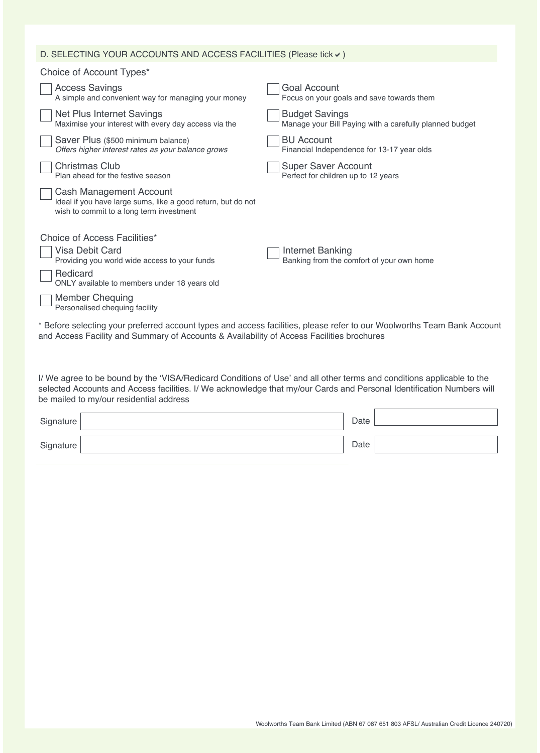## D. SELECTING YOUR ACCOUNTS AND ACCESS FACILITIES (Please tick  $\checkmark$ )

| Choice of Account Types*                                                                                                            |                                                                                                                        |
|-------------------------------------------------------------------------------------------------------------------------------------|------------------------------------------------------------------------------------------------------------------------|
| <b>Access Savings</b><br>A simple and convenient way for managing your money                                                        | Goal Account<br>Focus on your goals and save towards them                                                              |
| Net Plus Internet Savings<br>Maximise your interest with every day access via the                                                   | <b>Budget Savings</b><br>Manage your Bill Paying with a carefully planned budget                                       |
| Saver Plus (\$500 minimum balance)<br>Offers higher interest rates as your balance grows                                            | <b>BU Account</b><br>Financial Independence for 13-17 year olds                                                        |
| <b>Christmas Club</b><br>Plan ahead for the festive season                                                                          | <b>Super Saver Account</b><br>Perfect for children up to 12 years                                                      |
| Cash Management Account<br>Ideal if you have large sums, like a good return, but do not<br>wish to commit to a long term investment |                                                                                                                        |
| Choice of Access Facilities*                                                                                                        |                                                                                                                        |
| <b>Visa Debit Card</b><br>Providing you world wide access to your funds                                                             | Internet Banking<br>Banking from the comfort of your own home                                                          |
| Redicard<br>ONLY available to members under 18 years old                                                                            |                                                                                                                        |
| <b>Member Chequing</b><br>Personalised chequing facility                                                                            |                                                                                                                        |
|                                                                                                                                     | * Refore selecting your preferred account types and access facilities, please refer to our Woolworths Team Bank Accoun |

Before selecting your preferred account types and access facilities, please refer to our Woolworths Team Bank Account and Access Facility and Summary of Accounts & Availability of Access Facilities brochures

I/ We agree to be bound by the 'VISA/Redicard Conditions of Use' and all other terms and conditions applicable to the selected Accounts and Access facilities. I/ We acknowledge that my/our Cards and Personal Identification Numbers will be mailed to my/our residential address

| Signature | Date |  |
|-----------|------|--|
| Signature | Date |  |